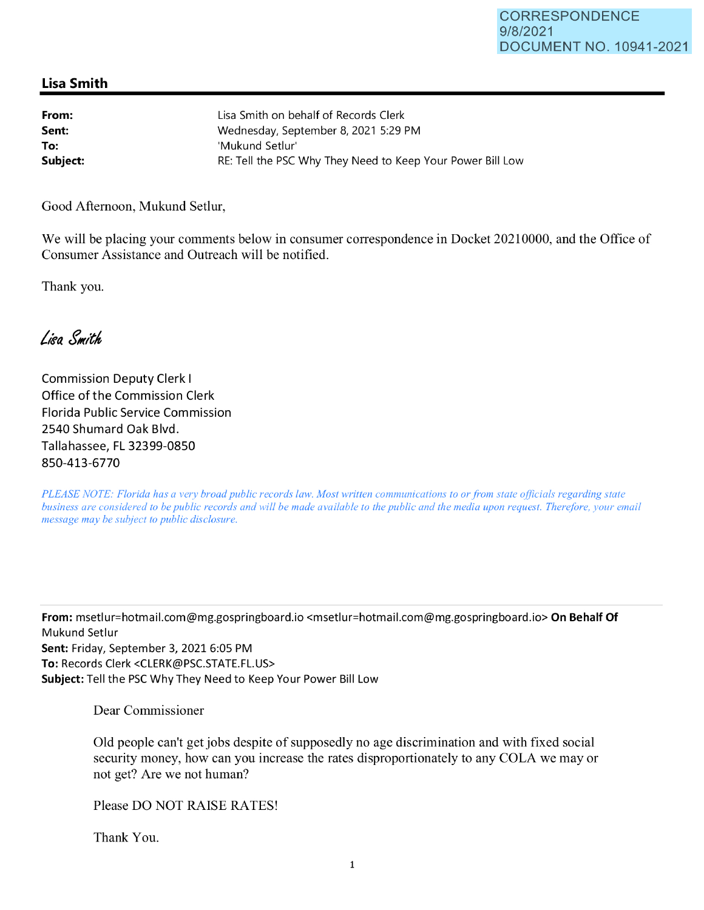## **Lisa Smith**

| From:    | Lisa Smith on behalf of Records Clerk                      |
|----------|------------------------------------------------------------|
| Sent:    | Wednesday, September 8, 2021 5:29 PM                       |
| To:      | 'Mukund Setlur'                                            |
| Subject: | RE: Tell the PSC Why They Need to Keep Your Power Bill Low |

Good Afternoon, Mukund Setlur,

We will be placing your comments below in consumer correspondence in Docket 20210000, and the Office of Consumer Assistance and Outreach will be notified.

Thank you.

Lisa Smith

Commission Deputy Clerk I Office of the Commission Clerk Florida Public Service Commission 2540 Shumard Oak Blvd. Tallahassee, FL 32399-0850 850-413-6770

*PLEASE NOTE: Florida has a very broad public records law. Most written communications to or from state officials regarding state business are considered to be public records and will be made available to the public and the media upon request. Therefore, your email message may be subject to public disclosure.* 

**From:** msetlur=hotmail.com@mg.gospringboard.io <msetlur=hotmail.com@mg.gospringboard.io> **On Behalf Of**  Mukund Setlur **Sent:** Friday, September 3, 2021 6:05 PM **To:** Records Clerk <CLERK@PSC.STATE.FL.US> **Subject:** Tell the PSC Why They Need to Keep Your Power Bill Low

Dear Commissioner

Old people can't get jobs despite of supposedly no age discrimination and with fixed social security money, how can you increase the rates disproportionately to any COLA we may or not get? Are we not human?

Please DO NOT RAISE RATES!

Thank You.